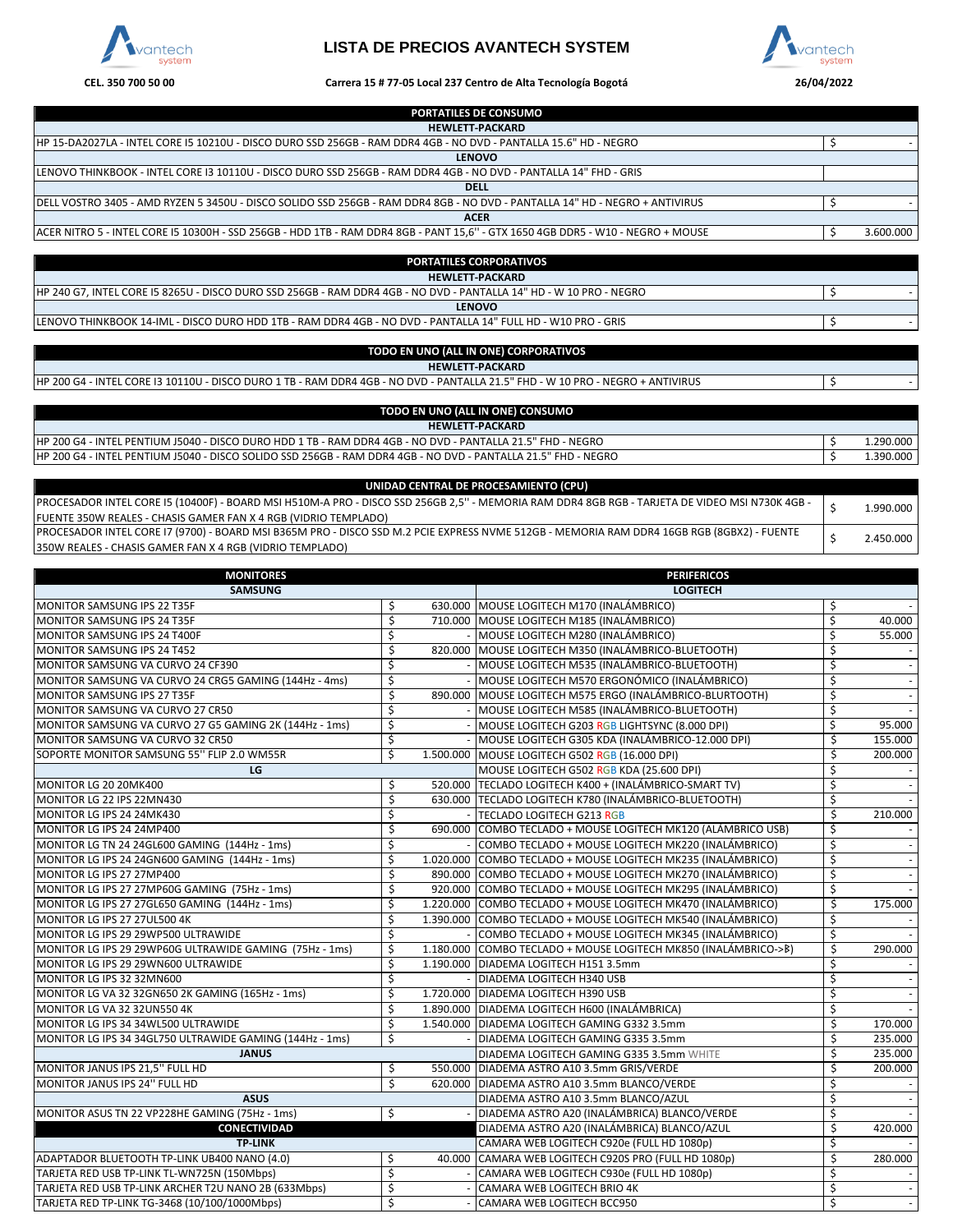

## **LISTA DE PRECIOS AVANTECH SYSTEM**



## **CEL. 350 700 50 00 26/04/2022 Carrera 15 # 77-05 Local 237 Centro de Alta Tecnología Bogotá**

| <b>PORTATILES DE CONSUMO</b>                                                                                                    |           |
|---------------------------------------------------------------------------------------------------------------------------------|-----------|
| <b>HEWLETT-PACKARD</b>                                                                                                          |           |
| HP 15-DA2027LA - INTEL CORE I5 10210U - DISCO DURO SSD 256GB - RAM DDR4 4GB - NO DVD - PANTALLA 15.6" HD - NEGRO                |           |
| <b>LENOVO</b>                                                                                                                   |           |
| LENOVO THINKBOOK - INTEL CORE 13 10110U - DISCO DURO SSD 256GB - RAM DDR4 4GB - NO DVD - PANTALLA 14" FHD - GRIS                |           |
| <b>DELL</b>                                                                                                                     |           |
| DELL VOSTRO 3405 - AMD RYZEN 5 3450U - DISCO SOLIDO SSD 256GB - RAM DDR4 8GB - NO DVD - PANTALLA 14" HD - NEGRO + ANTIVIRUS     |           |
| <b>ACER</b>                                                                                                                     |           |
| ACER NITRO 5 - INTEL CORE I5 10300H - SSD 256GB - HDD 1TB - RAM DDR4 8GB - PANT 15,6" - GTX 1650 4GB DDR5 - W10 - NEGRO + MOUSE | 3.600.000 |
|                                                                                                                                 |           |
| <b>DORTATHES CORDORATIVOS</b>                                                                                                   |           |

| FUNIATILLJ CUNFUNATIVUJ                                                                                             |  |
|---------------------------------------------------------------------------------------------------------------------|--|
| <b>HEWLETT-PACKARD</b>                                                                                              |  |
| IHP 240 G7, INTEL CORE I5 8265U - DISCO DURO SSD 256GB - RAM DDR4 4GB - NO DVD - PANTALLA 14" HD - W 10 PRO - NEGRO |  |
| <b>LENOVO</b>                                                                                                       |  |
| ILENOVO THINKBOOK 14-IML - DISCO DURO HDD 1TB - RAM DDR4 4GB - NO DVD - PANTALLA 14" FULL HD - W10 PRO - GRIS       |  |

## **TODO EN UNO (ALL IN ONE) CORPORATIVOS**

**HEWLETT-PACKARD**

HP 200 G4 - INTEL CORE I3 10110U - DISCO DURO 1 TB - RAM DDR4 4GB - NO DVD - PANTALLA 21.5" FHD - W 10 PRO - NEGRO + ANTIVIRUS \$ -

| TODO EN UNO (ALL IN ONE) CONSUMO                                                                              |          |
|---------------------------------------------------------------------------------------------------------------|----------|
| <b>HEWLETT-PACKARD</b>                                                                                        |          |
| HP 200 G4 - INTEL PENTIUM J5040 - DISCO DURO HDD 1 TB - RAM DDR4 4GB - NO DVD - PANTALLA 21.5" FHD - NEGRO    | .290.000 |
| HP 200 G4 - INTEL PENTIUM J5040 - DISCO SOLIDO SSD 256GB - RAM DDR4 4GB - NO DVD - PANTALLA 21.5" FHD - NEGRO | .390.000 |

| UNIDAD CENTRAL DE PROCESAMIENTO (CPU)                                                                                                           |           |
|-------------------------------------------------------------------------------------------------------------------------------------------------|-----------|
| IPROCESADOR INTEL CORE 15 (10400F) - BOARD MSI H510M-A PRO - DISCO SSD 256GB 2,5" - MEMORIA RAM DDR4 8GB RGB - TARJETA DE VIDEO MSI N730K 4GB - | 1.990.000 |
| <b>IFUENTE 350W REALES - CHASIS GAMER FAN X 4 RGB (VIDRIO TEMPLADO)</b>                                                                         |           |
| PROCESADOR INTEL CORE 17 (9700) - BOARD MSI B365M PRO - DISCO SSD M.2 PCIE EXPRESS NVME 512GB - MEMORIA RAM DDR4 16GB RGB (8GBX2) - FUENTE      | 2.450.000 |
| 1350W REALES - CHASIS GAMER FAN X 4 RGB (VIDRIO TEMPLADO)                                                                                       |           |

| <b>MONITORES</b>                                         |    | <b>PERIFERICOS</b>                                              |                        |         |
|----------------------------------------------------------|----|-----------------------------------------------------------------|------------------------|---------|
| <b>SAMSUNG</b>                                           |    | <b>LOGITECH</b>                                                 |                        |         |
| MONITOR SAMSUNG IPS 22 T35F                              | Ś  | 630.000 MOUSE LOGITECH M170 (INALÁMBRICO)                       | Ś                      |         |
| <b>MONITOR SAMSUNG IPS 24 T35F</b>                       | \$ | 710.000 MOUSE LOGITECH M185 (INALÁMBRICO)                       | Ś                      | 40.000  |
| MONITOR SAMSUNG IPS 24 T400F                             | \$ | MOUSE LOGITECH M280 (INALÁMBRICO)                               | \$                     | 55.000  |
| <b>MONITOR SAMSUNG IPS 24 T452</b>                       | \$ | 820.000 MOUSE LOGITECH M350 (INALÁMBRICO-BLUETOOTH)             | $\overline{\varsigma}$ |         |
| MONITOR SAMSUNG VA CURVO 24 CF390                        | \$ | - MOUSE LOGITECH M535 (INALÁMBRICO-BLUETOOTH)                   | \$                     |         |
| MONITOR SAMSUNG VA CURVO 24 CRG5 GAMING (144Hz - 4ms)    | \$ | MOUSE LOGITECH M570 ERGONÓMICO (INALÁMBRICO)                    | \$                     |         |
| <b>MONITOR SAMSUNG IPS 27 T35F</b>                       | \$ | 890.000 MOUSE LOGITECH M575 ERGO (INALÁMBRICO-BLURTOOTH)        | \$                     |         |
| MONITOR SAMSUNG VA CURVO 27 CR50                         | \$ | MOUSE LOGITECH M585 (INALÁMBRICO-BLUETOOTH)                     | \$                     |         |
| MONITOR SAMSUNG VA CURVO 27 G5 GAMING 2K (144Hz - 1ms)   | \$ | MOUSE LOGITECH G203 RGB LIGHTSYNC (8.000 DPI)                   | Ś                      | 95.000  |
| MONITOR SAMSUNG VA CURVO 32 CR50                         | \$ | MOUSE LOGITECH G305 KDA (INALÁMBRICO-12.000 DPI)                | \$                     | 155.000 |
| SOPORTE MONITOR SAMSUNG 55" FLIP 2.0 WM55R               | \$ | 1.500.000 MOUSE LOGITECH G502 RGB (16.000 DPI)                  | \$                     | 200.000 |
| LG                                                       |    | MOUSE LOGITECH G502 RGB KDA (25.600 DPI)                        | \$                     |         |
| MONITOR LG 20 20MK400                                    | \$ | 520.000 TECLADO LOGITECH K400 + (INALÁMBRICO-SMART TV)          | \$                     |         |
| MONITOR LG 22 IPS 22MN430                                | \$ | 630.000 TECLADO LOGITECH K780 (INALÁMBRICO-BLUETOOTH)           | \$                     |         |
| MONITOR LG IPS 24 24MK430                                | \$ | <b>TECLADO LOGITECH G213 RGB</b>                                | \$                     | 210.000 |
| MONITOR LG IPS 24 24MP400                                | \$ | 690.000 COMBO TECLADO + MOUSE LOGITECH MK120 (ALÁMBRICO USB)    | \$                     |         |
| MONITOR LG TN 24 24GL600 GAMING (144Hz - 1ms)            | \$ | COMBO TECLADO + MOUSE LOGITECH MK220 (INALÁMBRICO)              | \$                     |         |
| MONITOR LG IPS 24 24GN600 GAMING (144Hz - 1ms)           | \$ | 1.020.000 COMBO TECLADO + MOUSE LOGITECH MK235 (INALÁMBRICO)    | \$                     |         |
| MONITOR LG IPS 27 27MP400                                | \$ | 890.000 COMBO TECLADO + MOUSE LOGITECH MK270 (INALÁMBRICO)      | \$                     |         |
| MONITOR LG IPS 27 27MP60G GAMING (75Hz - 1ms)            | \$ | 920.000 COMBO TECLADO + MOUSE LOGITECH MK295 (INALÁMBRICO)      | \$                     |         |
| MONITOR LG IPS 27 27GL650 GAMING (144Hz - 1ms)           | \$ | 1.220.000 COMBO TECLADO + MOUSE LOGITECH MK470 (INALÁMBRICO)    | \$                     | 175.000 |
| MONITOR LG IPS 27 27UL500 4K                             | \$ | 1.390.000 COMBO TECLADO + MOUSE LOGITECH MK540 (INALÁMBRICO)    | \$                     |         |
| MONITOR LG IPS 29 29WP500 ULTRAWIDE                      | \$ | COMBO TECLADO + MOUSE LOGITECH MK345 (INALÁMBRICO)              | \$                     |         |
| MONITOR LG IPS 29 29WP60G ULTRAWIDE GAMING (75Hz - 1ms)  | \$ | 1.180.000 COMBO TECLADO + MOUSE LOGITECH MK850 (INALÁMBRICO->B) | \$                     | 290.000 |
| MONITOR LG IPS 29 29WN600 ULTRAWIDE                      | \$ | 1.190.000 DIADEMA LOGITECH H151 3.5mm                           | \$                     |         |
| MONITOR LG IPS 32 32MN600                                | \$ | <b>DIADEMA LOGITECH H340 USB</b>                                | \$                     |         |
| MONITOR LG VA 32 32GN650 2K GAMING (165Hz - 1ms)         | Ś. | 1.720.000 DIADEMA LOGITECH H390 USB                             | Ś.                     |         |
| MONITOR LG VA 32 32UN550 4K                              | \$ | 1.890.000 DIADEMA LOGITECH H600 (INALÁMBRICA)                   | \$                     |         |
| MONITOR LG IPS 34 34WL500 ULTRAWIDE                      | \$ | 1.540.000 DIADEMA LOGITECH GAMING G332 3.5mm                    | \$                     | 170.000 |
| MONITOR LG IPS 34 34GL750 ULTRAWIDE GAMING (144Hz - 1ms) | Ś  | DIADEMA LOGITECH GAMING G335 3.5mm                              | Ś                      | 235.000 |
| <b>JANUS</b>                                             |    | DIADEMA LOGITECH GAMING G335 3.5mm WHITE                        | \$                     | 235.000 |
| MONITOR JANUS IPS 21,5" FULL HD                          | \$ | 550.000 DIADEMA ASTRO A10 3.5mm GRIS/VERDE                      | \$                     | 200.000 |
| MONITOR JANUS IPS 24" FULL HD                            | \$ | 620.000 DIADEMA ASTRO A10 3.5mm BLANCO/VERDE                    | \$                     |         |
| <b>ASUS</b>                                              |    | DIADEMA ASTRO A10 3.5mm BLANCO/AZUL                             | \$                     |         |
| MONITOR ASUS TN 22 VP228HE GAMING (75Hz - 1ms)           | \$ | DIADEMA ASTRO A20 (INALÁMBRICA) BLANCO/VERDE                    | \$                     |         |
| <b>CONECTIVIDAD</b>                                      |    | DIADEMA ASTRO A20 (INALÁMBRICA) BLANCO/AZUL                     | \$                     | 420.000 |
| <b>TP-LINK</b>                                           |    | CAMARA WEB LOGITECH C920e (FULL HD 1080p)                       | \$                     |         |
| ADAPTADOR BLUETOOTH TP-LINK UB400 NANO (4.0)             | \$ | 40.000 CAMARA WEB LOGITECH C920S PRO (FULL HD 1080p)            | \$                     | 280.000 |
| TARJETA RED USB TP-LINK TL-WN725N (150Mbps)              | \$ | CAMARA WEB LOGITECH C930e (FULL HD 1080p)                       | \$                     |         |
| TARJETA RED USB TP-LINK ARCHER T2U NANO 2B (633Mbps)     | \$ | CAMARA WEB LOGITECH BRIO 4K                                     | \$                     |         |
| TARJETA RED TP-LINK TG-3468 (10/100/1000Mbps)            | \$ | <b>CAMARA WEB LOGITECH BCC950</b>                               | \$                     |         |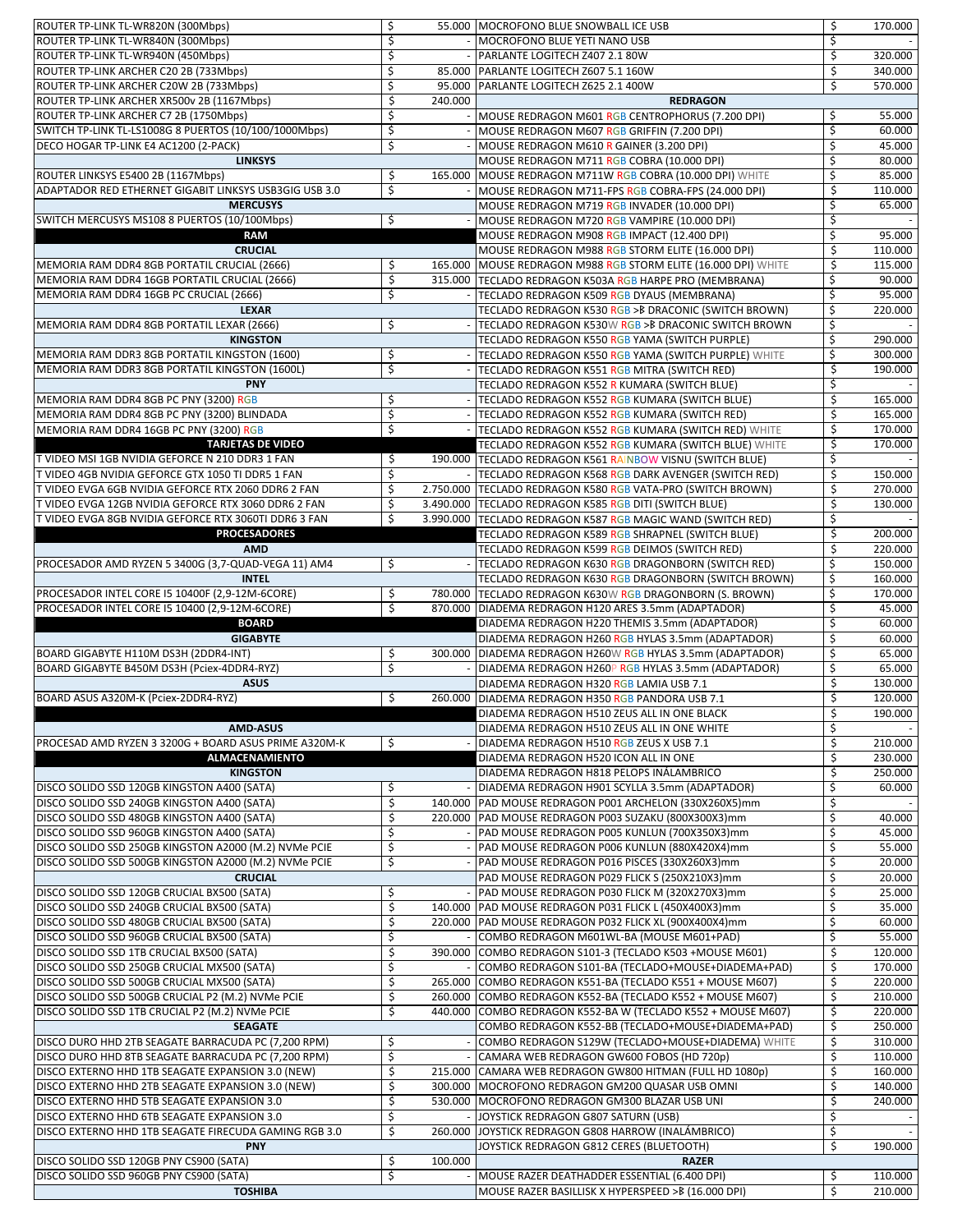| ROUTER TP-LINK TL-WR820N (300Mbps)                     | \$                      | 55.000 MOCROFONO BLUE SNOWBALL ICE USB                         | \$<br>170.000 |
|--------------------------------------------------------|-------------------------|----------------------------------------------------------------|---------------|
| ROUTER TP-LINK TL-WR840N (300Mbps)                     | \$                      | - MOCROFONO BLUE YETI NANO USB                                 | \$            |
| ROUTER TP-LINK TL-WR940N (450Mbps)                     | \$                      | PARLANTE LOGITECH Z407 2.1 80W                                 | \$<br>320.000 |
| ROUTER TP-LINK ARCHER C20 2B (733Mbps)                 | \$                      | 85.000 PARLANTE LOGITECH Z607 5.1 160W                         | \$<br>340.000 |
|                                                        |                         | 95.000 PARLANTE LOGITECH Z625 2.1 400W                         | \$<br>570.000 |
| ROUTER TP-LINK ARCHER C20W 2B (733Mbps)                | \$                      |                                                                |               |
| ROUTER TP-LINK ARCHER XR500v 2B (1167Mbps)             | \$<br>240.000           | <b>REDRAGON</b>                                                |               |
| ROUTER TP-LINK ARCHER C7 2B (1750Mbps)                 | \$                      | - MOUSE REDRAGON M601 RGB CENTROPHORUS (7.200 DPI)             | 55.000<br>\$  |
| SWITCH TP-LINK TL-LS1008G 8 PUERTOS (10/100/1000Mbps)  | \$                      | MOUSE REDRAGON M607 RGB GRIFFIN (7.200 DPI)                    | \$<br>60.000  |
| DECO HOGAR TP-LINK E4 AC1200 (2-PACK)                  | \$                      | MOUSE REDRAGON M610 R GAINER (3.200 DPI)                       | \$<br>45.000  |
| <b>LINKSYS</b>                                         |                         | MOUSE REDRAGON M711 RGB COBRA (10.000 DPI)                     | \$<br>80.000  |
| ROUTER LINKSYS E5400 2B (1167Mbps)                     | \$                      | 165.000 MOUSE REDRAGON M711W RGB COBRA (10.000 DPI) WHITE      | \$<br>85.000  |
| ADAPTADOR RED ETHERNET GIGABIT LINKSYS USB3GIG USB 3.0 | \$                      | - MOUSE REDRAGON M711-FPS RGB COBRA-FPS (24.000 DPI)           | \$<br>110.000 |
| <b>MERCUSYS</b>                                        |                         | MOUSE REDRAGON M719 RGB INVADER (10.000 DPI)                   | \$<br>65.000  |
| SWITCH MERCUSYS MS108 8 PUERTOS (10/100Mbps)           | \$                      | - MOUSE REDRAGON M720 RGB VAMPIRE (10.000 DPI)                 | \$            |
| <b>RAM</b>                                             |                         | MOUSE REDRAGON M908 RGB IMPACT (12.400 DPI)                    | \$<br>95.000  |
| <b>CRUCIAL</b>                                         |                         | MOUSE REDRAGON M988 RGB STORM ELITE (16.000 DPI)               | \$<br>110.000 |
| MEMORIA RAM DDR4 8GB PORTATIL CRUCIAL (2666)           | \$                      | 165.000 MOUSE REDRAGON M988 RGB STORM ELITE (16.000 DPI) WHITE | \$<br>115.000 |
| MEMORIA RAM DDR4 16GB PORTATIL CRUCIAL (2666)          | \$                      | 315.000 TECLADO REDRAGON K503A RGB HARPE PRO (MEMBRANA)        | \$<br>90.000  |
| MEMORIA RAM DDR4 16GB PC CRUCIAL (2666)                | \$                      | TECLADO REDRAGON K509 RGB DYAUS (MEMBRANA)                     | \$<br>95.000  |
|                                                        |                         |                                                                |               |
| <b>LEXAR</b>                                           |                         | TECLADO REDRAGON K530 RGB > B DRACONIC (SWITCH BROWN)          | \$<br>220.000 |
| MEMORIA RAM DDR4 8GB PORTATIL LEXAR (2666)             | \$                      | TECLADO REDRAGON K530W RGB >B DRACONIC SWITCH BROWN            | \$            |
| <b>KINGSTON</b>                                        |                         | TECLADO REDRAGON K550 RGB YAMA (SWITCH PURPLE)                 | \$<br>290.000 |
| MEMORIA RAM DDR3 8GB PORTATIL KINGSTON (1600)          | \$                      | TECLADO REDRAGON K550 RGB YAMA (SWITCH PURPLE) WHITE           | \$<br>300.000 |
| MEMORIA RAM DDR3 8GB PORTATIL KINGSTON (1600L)         | $\overline{\mathsf{S}}$ | TECLADO REDRAGON K551 RGB MITRA (SWITCH RED)                   | \$<br>190.000 |
| <b>PNY</b>                                             |                         | TECLADO REDRAGON K552 R KUMARA (SWITCH BLUE)                   | \$            |
| MEMORIA RAM DDR4 8GB PC PNY (3200) RGB                 | \$                      | TECLADO REDRAGON K552 RGB KUMARA (SWITCH BLUE)                 | \$<br>165.000 |
| MEMORIA RAM DDR4 8GB PC PNY (3200) BLINDADA            | \$                      | TECLADO REDRAGON K552 RGB KUMARA (SWITCH RED)                  | \$<br>165.000 |
| MEMORIA RAM DDR4 16GB PC PNY (3200) RGB                | \$                      | - TECLADO REDRAGON K552 RGB KUMARA (SWITCH RED) WHITE          | \$<br>170.000 |
| <b>TARJETAS DE VIDEO</b>                               |                         | TECLADO REDRAGON K552 RGB KUMARA (SWITCH BLUE) WHITE           | \$<br>170.000 |
| T VIDEO MSI 1GB NVIDIA GEFORCE N 210 DDR3 1 FAN        | \$                      | 190.000 TECLADO REDRAGON K561 RAINBOW VISNU (SWITCH BLUE)      | \$            |
| T VIDEO 4GB NVIDIA GEFORCE GTX 1050 TI DDR5 1 FAN      | \$                      | TECLADO REDRAGON K568 RGB DARK AVENGER (SWITCH RED)            | \$<br>150.000 |
| T VIDEO EVGA 6GB NVIDIA GEFORCE RTX 2060 DDR6 2 FAN    | \$                      | 2.750.000 TECLADO REDRAGON K580 RGB VATA-PRO (SWITCH BROWN)    | \$<br>270.000 |
| T VIDEO EVGA 12GB NVIDIA GEFORCE RTX 3060 DDR6 2 FAN   | \$                      | 3.490.000 TECLADO REDRAGON K585 RGB DITI (SWITCH BLUE)         | \$<br>130.000 |
| T VIDEO EVGA 8GB NVIDIA GEFORCE RTX 3060TI DDR6 3 FAN  | \$                      | 3.990.000 TECLADO REDRAGON K587 RGB MAGIC WAND (SWITCH RED)    | \$            |
| <b>PROCESADORES</b>                                    |                         | TECLADO REDRAGON K589 RGB SHRAPNEL (SWITCH BLUE)               | \$<br>200.000 |
| <b>AMD</b>                                             |                         | TECLADO REDRAGON K599 RGB DEIMOS (SWITCH RED)                  | \$<br>220.000 |
| PROCESADOR AMD RYZEN 5 3400G (3,7-QUAD-VEGA 11) AM4    | \$<br>$\sim$            | TECLADO REDRAGON K630 RGB DRAGONBORN (SWITCH RED)              | \$<br>150.000 |
| <b>INTEL</b>                                           |                         | TECLADO REDRAGON K630 RGB DRAGONBORN (SWITCH BROWN)            | \$<br>160.000 |
| PROCESADOR INTEL CORE I5 10400F (2,9-12M-6CORE)        | \$                      | 780.000 TECLADO REDRAGON K630W RGB DRAGONBORN (S. BROWN)       | \$<br>170.000 |
| PROCESADOR INTEL CORE I5 10400 (2,9-12M-6CORE)         | \$                      | 870.000 DIADEMA REDRAGON H120 ARES 3.5mm (ADAPTADOR)           | \$<br>45.000  |
| <b>BOARD</b>                                           |                         | DIADEMA REDRAGON H220 THEMIS 3.5mm (ADAPTADOR)                 | \$<br>60.000  |
| <b>GIGABYTE</b>                                        |                         |                                                                | Ś<br>60.000   |
|                                                        |                         | DIADEMA REDRAGON H260 RGB HYLAS 3.5mm (ADAPTADOR)              | 65.000        |
| BOARD GIGABYTE H110M DS3H (2DDR4-INT)                  | \$                      | 300.000 DIADEMA REDRAGON H260W RGB HYLAS 3.5mm (ADAPTADOR)     | \$            |
| BOARD GIGABYTE B450M DS3H (Pciex-4DDR4-RYZ)            | \$                      | DIADEMA REDRAGON H260P RGB HYLAS 3.5mm (ADAPTADOR)             | \$<br>65.000  |
| <b>ASUS</b>                                            |                         | DIADEMA REDRAGON H320 RGB LAMIA USB 7.1                        | \$<br>130.000 |
| BOARD ASUS A320M-K (Pciex-2DDR4-RYZ)                   | \$                      | 260.000 DIADEMA REDRAGON H350 RGB PANDORA USB 7.1              | \$<br>120.000 |
|                                                        |                         | DIADEMA REDRAGON H510 ZEUS ALL IN ONE BLACK                    | Ś<br>190.000  |
| <b>AMD-ASUS</b>                                        |                         | DIADEMA REDRAGON H510 ZEUS ALL IN ONE WHITE                    | \$            |
| PROCESAD AMD RYZEN 3 3200G + BOARD ASUS PRIME A320M-K  | \$                      | DIADEMA REDRAGON H510 RGB ZEUS X USB 7.1                       | \$<br>210.000 |
| <b>ALMACENAMIENTO</b>                                  |                         | DIADEMA REDRAGON H520 ICON ALL IN ONE                          | \$<br>230.000 |
| <b>KINGSTON</b>                                        |                         | DIADEMA REDRAGON H818 PELOPS INÁLAMBRICO                       | \$<br>250.000 |
| DISCO SOLIDO SSD 120GB KINGSTON A400 (SATA)            | \$                      | - DIADEMA REDRAGON H901 SCYLLA 3.5mm (ADAPTADOR)               | \$<br>60.000  |
| DISCO SOLIDO SSD 240GB KINGSTON A400 (SATA)            | \$                      | 140.000 PAD MOUSE REDRAGON P001 ARCHELON (330X260X5)mm         | \$            |
| DISCO SOLIDO SSD 480GB KINGSTON A400 (SATA)            | \$                      | 220.000 PAD MOUSE REDRAGON P003 SUZAKU (800X300X3)mm           | \$<br>40.000  |
| DISCO SOLIDO SSD 960GB KINGSTON A400 (SATA)            | \$                      | PAD MOUSE REDRAGON P005 KUNLUN (700X350X3)mm                   | \$<br>45.000  |
| DISCO SOLIDO SSD 250GB KINGSTON A2000 (M.2) NVMe PCIE  | \$                      | PAD MOUSE REDRAGON P006 KUNLUN (880X420X4)mm                   | \$<br>55.000  |
| DISCO SOLIDO SSD 500GB KINGSTON A2000 (M.2) NVMe PCIE  | \$                      | - PAD MOUSE REDRAGON P016 PISCES (330X260X3)mm                 | \$<br>20.000  |
| <b>CRUCIAL</b>                                         |                         | PAD MOUSE REDRAGON P029 FLICK S (250X210X3)mm                  | \$<br>20.000  |
| DISCO SOLIDO SSD 120GB CRUCIAL BX500 (SATA)            | \$                      | PAD MOUSE REDRAGON P030 FLICK M (320X270X3)mm                  | \$<br>25.000  |
| DISCO SOLIDO SSD 240GB CRUCIAL BX500 (SATA)            | \$                      | 140.000 PAD MOUSE REDRAGON P031 FLICK L (450X400X3)mm          | \$<br>35.000  |
| DISCO SOLIDO SSD 480GB CRUCIAL BX500 (SATA)            | \$                      | 220.000 PAD MOUSE REDRAGON P032 FLICK XL (900X400X4)mm         | \$<br>60.000  |
| DISCO SOLIDO SSD 960GB CRUCIAL BX500 (SATA)            | \$                      | COMBO REDRAGON M601WL-BA (MOUSE M601+PAD)                      | \$<br>55.000  |
| DISCO SOLIDO SSD 1TB CRUCIAL BX500 (SATA)              | \$                      | 390.000 COMBO REDRAGON S101-3 (TECLADO K503 +MOUSE M601)       | \$<br>120.000 |
| DISCO SOLIDO SSD 250GB CRUCIAL MX500 (SATA)            | \$                      |                                                                | \$<br>170.000 |
|                                                        |                         | COMBO REDRAGON S101-BA (TECLADO+MOUSE+DIADEMA+PAD)             |               |
| DISCO SOLIDO SSD 500GB CRUCIAL MX500 (SATA)            | \$<br>265.000           | COMBO REDRAGON K551-BA (TECLADO K551 + MOUSE M607)             | \$<br>220.000 |
| DISCO SOLIDO SSD 500GB CRUCIAL P2 (M.2) NVMe PCIE      | \$                      | 260.000 COMBO REDRAGON K552-BA (TECLADO K552 + MOUSE M607)     | \$<br>210.000 |
| DISCO SOLIDO SSD 1TB CRUCIAL P2 (M.2) NVMe PCIE        | \$                      | 440.000 COMBO REDRAGON K552-BA W (TECLADO K552 + MOUSE M607)   | \$<br>220.000 |
| <b>SEAGATE</b>                                         |                         | COMBO REDRAGON K552-BB (TECLADO+MOUSE+DIADEMA+PAD)             | \$<br>250.000 |
| DISCO DURO HHD 2TB SEAGATE BARRACUDA PC (7,200 RPM)    | \$                      | COMBO REDRAGON S129W (TECLADO+MOUSE+DIADEMA) WHITE             | \$<br>310.000 |
| DISCO DURO HHD 8TB SEAGATE BARRACUDA PC (7,200 RPM)    | \$                      | CAMARA WEB REDRAGON GW600 FOBOS (HD 720p)                      | \$<br>110.000 |
| DISCO EXTERNO HHD 1TB SEAGATE EXPANSION 3.0 (NEW)      | \$                      | 215.000 CAMARA WEB REDRAGON GW800 HITMAN (FULL HD 1080p)       | \$<br>160.000 |
| DISCO EXTERNO HHD 2TB SEAGATE EXPANSION 3.0 (NEW)      | \$                      | 300.000 MOCROFONO REDRAGON GM200 QUASAR USB OMNI               | \$<br>140.000 |
| DISCO EXTERNO HHD 5TB SEAGATE EXPANSION 3.0            | \$                      | 530.000 MOCROFONO REDRAGON GM300 BLAZAR USB UNI                | \$<br>240.000 |
| DISCO EXTERNO HHD 6TB SEAGATE EXPANSION 3.0            | \$                      | JOYSTICK REDRAGON G807 SATURN (USB)                            | \$            |
| DISCO EXTERNO HHD 1TB SEAGATE FIRECUDA GAMING RGB 3.0  | \$<br>260.000           | JOYSTICK REDRAGON G808 HARROW (INALÁMBRICO)                    | \$            |
| <b>PNY</b>                                             |                         | JOYSTICK REDRAGON G812 CERES (BLUETOOTH)                       | \$<br>190.000 |
| DISCO SOLIDO SSD 120GB PNY CS900 (SATA)                | \$<br>100.000           | <b>RAZER</b>                                                   |               |
| DISCO SOLIDO SSD 960GB PNY CS900 (SATA)                | \$                      | MOUSE RAZER DEATHADDER ESSENTIAL (6.400 DPI)                   | \$<br>110.000 |
| <b>TOSHIBA</b>                                         |                         | MOUSE RAZER BASILLISK X HYPERSPEED >B (16.000 DPI)             | \$<br>210.000 |